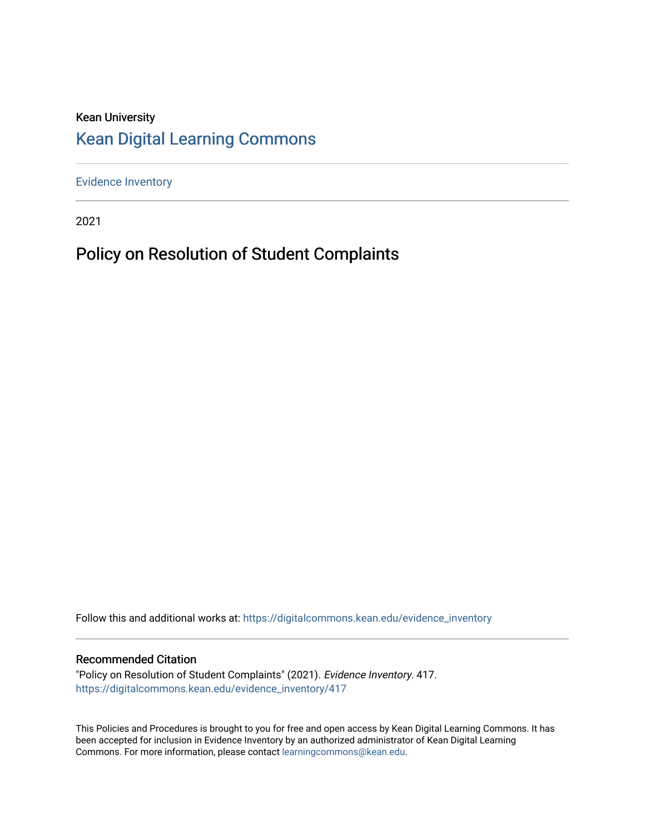# Kean University [Kean Digital Learning Commons](https://digitalcommons.kean.edu/)

[Evidence Inventory](https://digitalcommons.kean.edu/evidence_inventory) 

2021

# Policy on Resolution of Student Complaints

Follow this and additional works at: [https://digitalcommons.kean.edu/evidence\\_inventory](https://digitalcommons.kean.edu/evidence_inventory?utm_source=digitalcommons.kean.edu%2Fevidence_inventory%2F417&utm_medium=PDF&utm_campaign=PDFCoverPages)

#### Recommended Citation

"Policy on Resolution of Student Complaints" (2021). Evidence Inventory. 417. [https://digitalcommons.kean.edu/evidence\\_inventory/417](https://digitalcommons.kean.edu/evidence_inventory/417?utm_source=digitalcommons.kean.edu%2Fevidence_inventory%2F417&utm_medium=PDF&utm_campaign=PDFCoverPages)

This Policies and Procedures is brought to you for free and open access by Kean Digital Learning Commons. It has been accepted for inclusion in Evidence Inventory by an authorized administrator of Kean Digital Learning Commons. For more information, please contact [learningcommons@kean.edu.](mailto:learningcommons@kean.edu)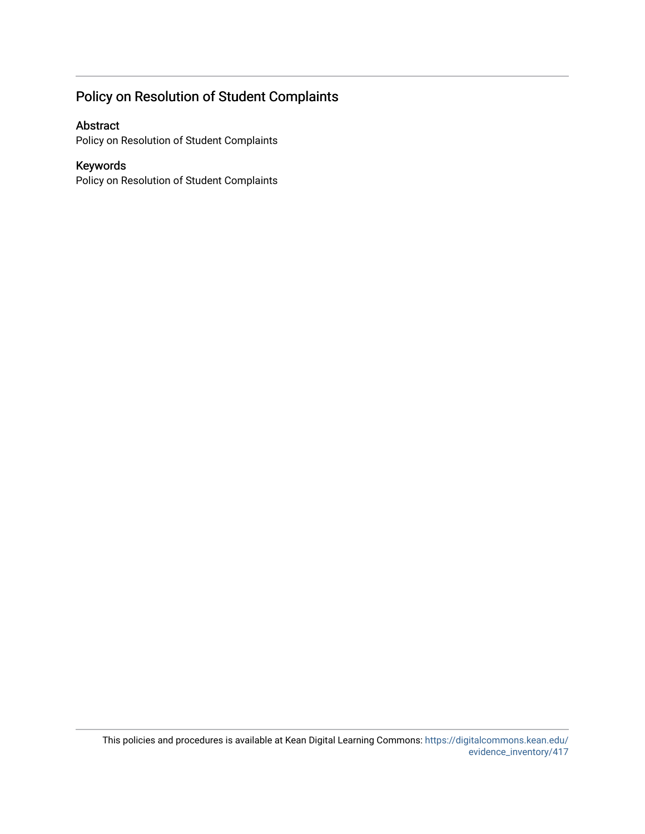## Policy on Resolution of Student Complaints

#### Abstract

Policy on Resolution of Student Complaints

#### Keywords

Policy on Resolution of Student Complaints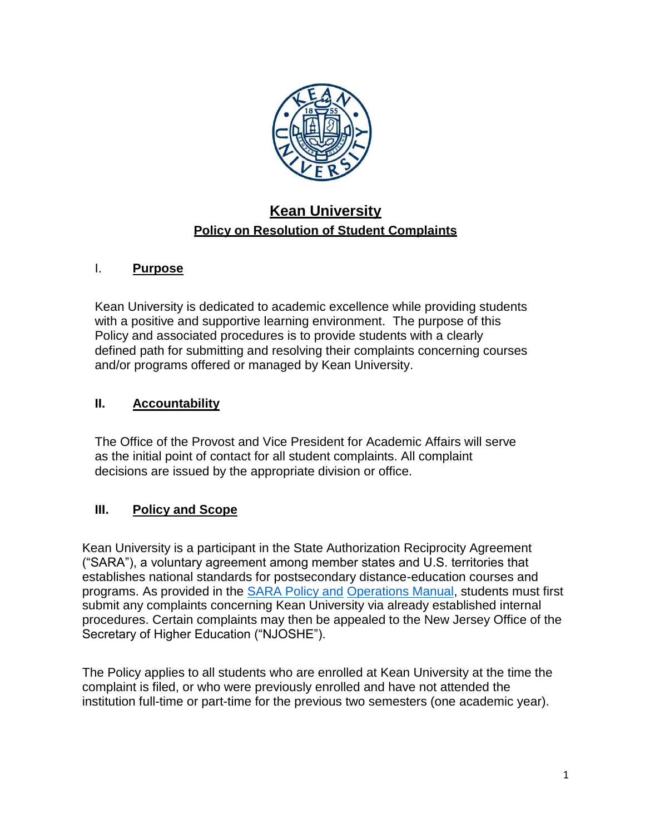

# **Kean University Policy on Resolution of Student Complaints**

### I. **Purpose**

Kean University is dedicated to academic excellence while providing students with a positive and supportive learning environment. The purpose of this Policy and associated procedures is to provide students with a clearly defined path for submitting and resolving their complaints concerning courses and/or programs offered or managed by Kean University.

#### **II. Accountability**

The Office of the Provost and Vice President for Academic Affairs will serve as the initial point of contact for all student complaints. All complaint decisions are issued by the appropriate division or office.

### **III. Policy and Scope**

Kean University is a participant in the State Authorization Reciprocity Agreement ("SARA"), a voluntary agreement among member states and U.S. territories that establishes national standards for postsecondary distance-education courses and programs. As provided in the [SARA Policy and](http://www.nc-sara.org/files/docs/NC-SARA_Manual_Final_2016.pdf) [Operations Manual,](http://www.nc-sara.org/files/docs/NC-SARA_Manual_Final_2016.pdf) students must first submit any complaints concerning Kean University via already established internal procedures. Certain complaints may then be appealed to the New Jersey Office of the Secretary of Higher Education ("NJOSHE").

The Policy applies to all students who are enrolled at Kean University at the time the complaint is filed, or who were previously enrolled and have not attended the institution full-time or part-time for the previous two semesters (one academic year).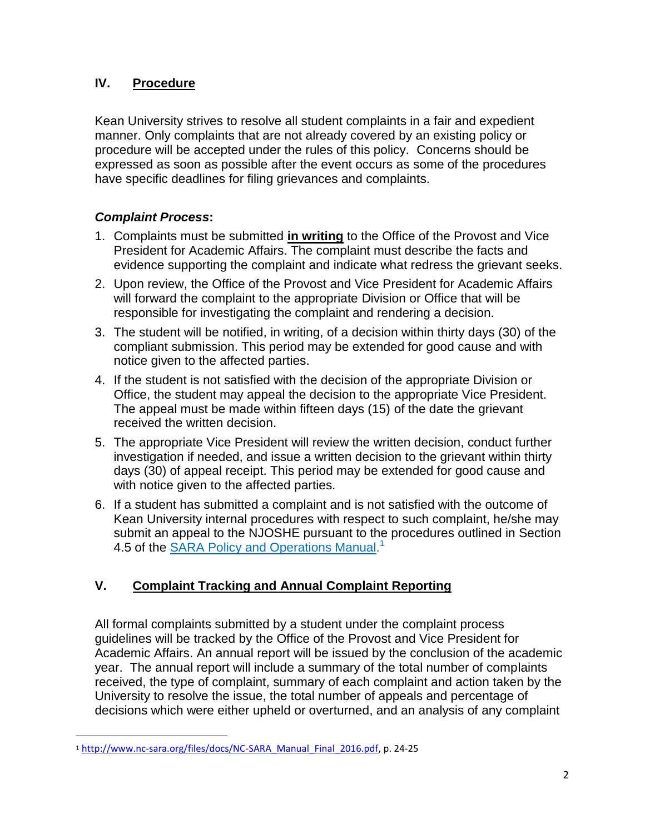### **IV. Procedure**

Kean University strives to resolve all student complaints in a fair and expedient manner. Only complaints that are not already covered by an existing policy or procedure will be accepted under the rules of this policy. Concerns should be expressed as soon as possible after the event occurs as some of the procedures have specific deadlines for filing grievances and complaints.

### *Complaint Process***:**

- 1. Complaints must be submitted **in writing** to the Office of the Provost and Vice President for Academic Affairs. The complaint must describe the facts and evidence supporting the complaint and indicate what redress the grievant seeks.
- 2. Upon review, the Office of the Provost and Vice President for Academic Affairs will forward the complaint to the appropriate Division or Office that will be responsible for investigating the complaint and rendering a decision.
- 3. The student will be notified, in writing, of a decision within thirty days (30) of the compliant submission. This period may be extended for good cause and with notice given to the affected parties.
- 4. If the student is not satisfied with the decision of the appropriate Division or Office, the student may appeal the decision to the appropriate Vice President. The appeal must be made within fifteen days (15) of the date the grievant received the written decision.
- 5. The appropriate Vice President will review the written decision, conduct further investigation if needed, and issue a written decision to the grievant within thirty days (30) of appeal receipt. This period may be extended for good cause and with notice given to the affected parties.
- 6. If a student has submitted a complaint and is not satisfied with the outcome of Kean University internal procedures with respect to such complaint, he/she may submit an appeal to the NJOSHE pursuant to the procedures outlined in Section 4.5 of the **SARA [Policy and Operations](http://www.nc-sara.org/files/docs/NC-SARA_Manual_Final_2016.pdf) Manual.**<sup>1</sup>

# **V. Complaint Tracking and Annual Complaint Reporting**

All formal complaints submitted by a student under the complaint process guidelines will be tracked by the Office of the Provost and Vice President for Academic Affairs. An annual report will be issued by the conclusion of the academic year. The annual report will include a summary of the total number of complaints received, the type of complaint, summary of each complaint and action taken by the University to resolve the issue, the total number of appeals and percentage of decisions which were either upheld or overturned, and an analysis of any complaint

l

<sup>1</sup> [http://www.nc-sara.org/files/docs/NC-SARA\\_Manual\\_Final\\_2016.pdf,](http://www.nc-sara.org/files/docs/NC-SARA_Manual_Final_2016.pdf) p. 24-25